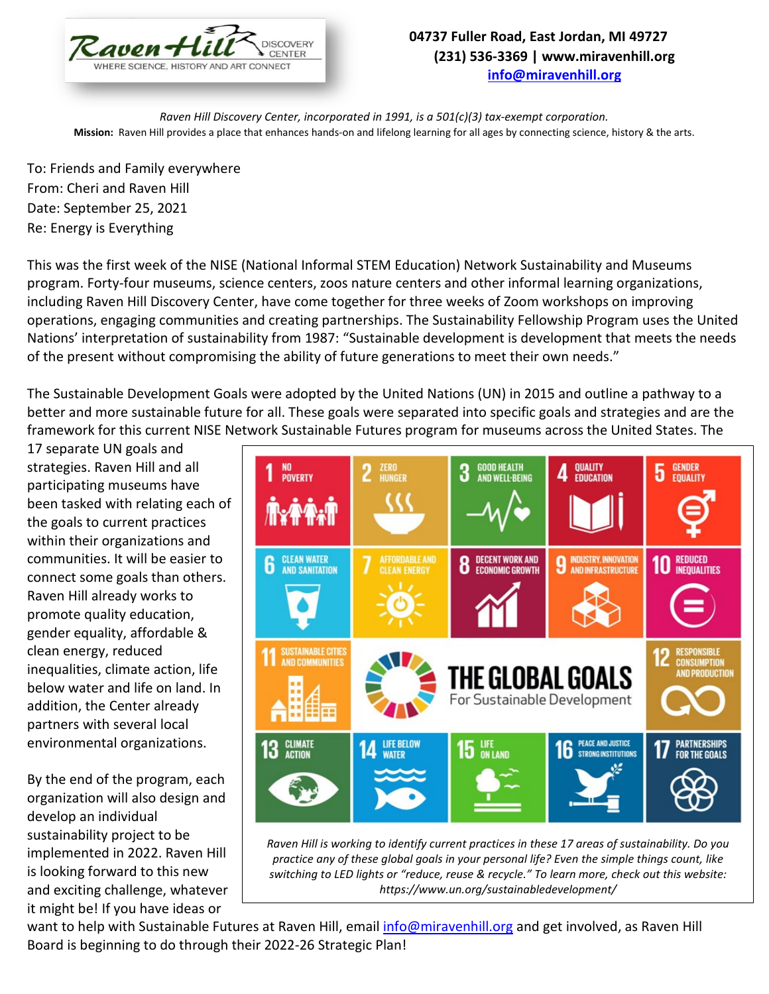

## **04737 Fuller Road, East Jordan, MI 49727 (231) 536-3369 | www.miravenhill.org [info@miravenhill.org](mailto:info@miravenhill.org)**

*Raven Hill Discovery Center, incorporated in 1991, is a 501(c)(3) tax-exempt corporation.* **Mission:** Raven Hill provides a place that enhances hands-on and lifelong learning for all ages by connecting science, history & the arts.

To: Friends and Family everywhere From: Cheri and Raven Hill Date: September 25, 2021 Re: Energy is Everything

This was the first week of the NISE (National Informal STEM Education) Network Sustainability and Museums program. Forty-four museums, science centers, zoos nature centers and other informal learning organizations, including Raven Hill Discovery Center, have come together for three weeks of Zoom workshops on improving operations, engaging communities and creating partnerships. The Sustainability Fellowship Program uses the United Nations' interpretation of sustainability from 1987: "Sustainable development is development that meets the needs of the present without compromising the ability of future generations to meet their own needs."

The Sustainable Development Goals were adopted by the United Nations (UN) in 2015 and outline a pathway to a better and more sustainable future for all. These goals were separated into specific goals and strategies and are the framework for this current NISE Network Sustainable Futures program for museums across the United States. The

17 separate UN goals and strategies. Raven Hill and all participating museums have been tasked with relating each of the goals to current practices within their organizations and communities. It will be easier to connect some goals than others. Raven Hill already works to promote quality education, gender equality, affordable & clean energy, reduced inequalities, climate action, life below water and life on land. In addition, the Center already partners with several local environmental organizations.

By the end of the program, each organization will also design and develop an individual sustainability project to be implemented in 2022. Raven Hill is looking forward to this new and exciting challenge, whatever it might be! If you have ideas or



*Raven Hill is working to identify current practices in these 17 areas of sustainability. Do you practice any of these global goals in your personal life? Even the simple things count, like switching to LED lights or "reduce, reuse & recycle." To learn more, check out this website: https://www.un.org/sustainabledevelopment/*

want to help with Sustainable Futures at Raven Hill, email [info@miravenhill.org](mailto:info@miravenhill.org) and get involved, as Raven Hill Board is beginning to do through their 2022-26 Strategic Plan!